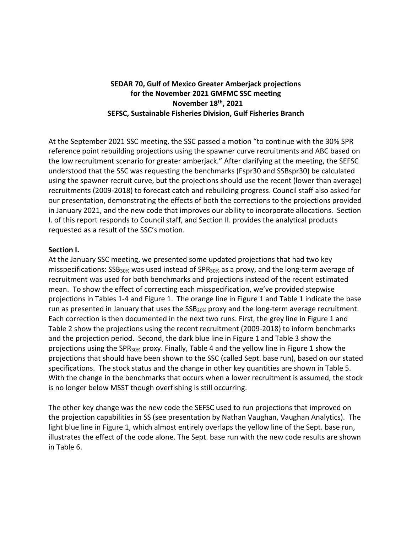## **SEDAR 70, Gulf of Mexico Greater Amberjack projections for the November 2021 GMFMC SSC meeting November 18th, 2021 SEFSC, Sustainable Fisheries Division, Gulf Fisheries Branch**

At the September 2021 SSC meeting, the SSC passed a motion "to continue with the 30% SPR reference point rebuilding projections using the spawner curve recruitments and ABC based on the low recruitment scenario for greater amberjack." After clarifying at the meeting, the SEFSC understood that the SSC was requesting the benchmarks (Fspr30 and SSBspr30) be calculated using the spawner recruit curve, but the projections should use the recent (lower than average) recruitments (2009-2018) to forecast catch and rebuilding progress. Council staff also asked for our presentation, demonstrating the effects of both the corrections to the projections provided in January 2021, and the new code that improves our ability to incorporate allocations. Section I. of this report responds to Council staff, and Section II. provides the analytical products requested as a result of the SSC's motion.

## **Section I.**

At the January SSC meeting, we presented some updated projections that had two key misspecifications: SSB<sub>30%</sub> was used instead of SPR<sub>30%</sub> as a proxy, and the long-term average of recruitment was used for both benchmarks and projections instead of the recent estimated mean. To show the effect of correcting each misspecification, we've provided stepwise projections in Tables 1-4 and Figure 1. The orange line in Figure 1 and Table 1 indicate the base run as presented in January that uses the SSB<sub>30%</sub> proxy and the long-term average recruitment. Each correction is then documented in the next two runs. First, the grey line in Figure 1 and Table 2 show the projections using the recent recruitment (2009-2018) to inform benchmarks and the projection period. Second, the dark blue line in Figure 1 and Table 3 show the projections using the SPR30% proxy. Finally, Table 4 and the yellow line in Figure 1 show the projections that should have been shown to the SSC (called Sept. base run), based on our stated specifications. The stock status and the change in other key quantities are shown in Table 5. With the change in the benchmarks that occurs when a lower recruitment is assumed, the stock is no longer below MSST though overfishing is still occurring.

The other key change was the new code the SEFSC used to run projections that improved on the projection capabilities in SS (see presentation by Nathan Vaughan, Vaughan Analytics). The light blue line in Figure 1, which almost entirely overlaps the yellow line of the Sept. base run, illustrates the effect of the code alone. The Sept. base run with the new code results are shown in Table 6.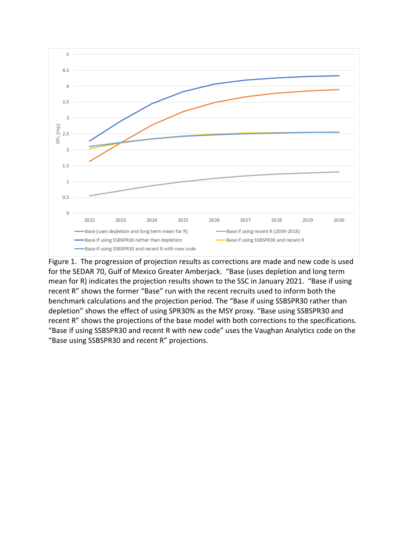

Figure 1. The progression of projection results as corrections are made and new code is used for the SEDAR 70, Gulf of Mexico Greater Amberjack. "Base (uses depletion and long term mean for R) indicates the projection results shown to the SSC in January 2021. "Base if using recent R" shows the former "Base" run with the recent recruits used to inform both the benchmark calculations and the projection period. The "Base if using SSBSPR30 rather than depletion" shows the effect of using SPR30% as the MSY proxy. "Base using SSBSPR30 and recent R" shows the projections of the base model with both corrections to the specifications. "Base if using SSBSPR30 and recent R with new code" uses the Vaughan Analytics code on the "Base using SSBSPR30 and recent R" projections.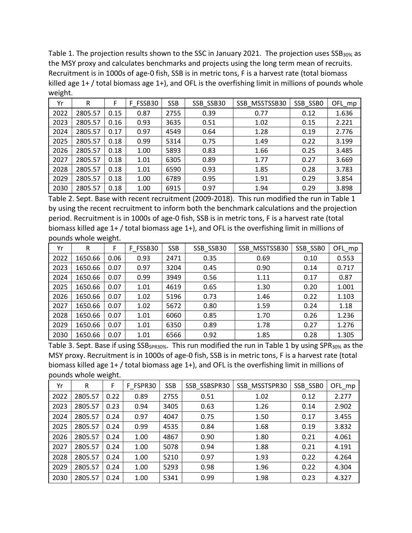Table 1. The projection results shown to the SSC in January 2021. The projection uses SSB<sub>30%</sub> as the MSY proxy and calculates benchmarks and projects using the long term mean of recruits. Recruitment is in 1000s of age-0 fish, SSB is in metric tons, F is a harvest rate (total biomass killed age 1+ / total biomass age 1+), and OFL is the overfishing limit in millions of pounds whole weight.

| Yr   | R       | F    | F FSSB30 | <b>SSB</b> | SSB SSB30 | SSB MSSTSSB30 | SSB SSBO | $OFL_mpp$ |  |
|------|---------|------|----------|------------|-----------|---------------|----------|-----------|--|
| 2022 | 2805.57 | 0.15 | 0.87     | 2755       | 0.39      | 0.77          | 0.12     | 1.636     |  |
| 2023 | 2805.57 | 0.16 | 0.93     | 3635       | 0.51      | 1.02          | 0.15     | 2.221     |  |
| 2024 | 2805.57 | 0.17 | 0.97     | 4549       | 0.64      | 1.28          | 0.19     | 2.776     |  |
| 2025 | 2805.57 | 0.18 | 0.99     | 5314       | 0.75      | 1.49          | 0.22     | 3.199     |  |
| 2026 | 2805.57 | 0.18 | 1.00     | 5893       | 0.83      | 1.66          | 0.25     | 3.485     |  |
| 2027 | 2805.57 | 0.18 | 1.01     | 6305       | 0.89      | 1.77          | 0.27     | 3.669     |  |
| 2028 | 2805.57 | 0.18 | 1.01     | 6590       | 0.93      | 1.85          | 0.28     | 3.783     |  |
| 2029 | 2805.57 | 0.18 | 1.00     | 6789       | 0.95      | 1.91          | 0.29     | 3.854     |  |
| 2030 | 2805.57 | 0.18 | 1.00     | 6915       | 0.97      | 1.94          | 0.29     | 3.898     |  |

Table 2. Sept. Base with recent recruitment (2009-2018). This run modified the run in Table 1 by using the recent recruitment to inform both the benchmark calculations and the projection period. Recruitment is in 1000s of age-0 fish, SSB is in metric tons, F is a harvest rate (total biomass killed age 1+ / total biomass age 1+), and OFL is the overfishing limit in millions of pounds whole weight.

| Yr   | R       | F    | F FSSB30 | <b>SSB</b> | SSB_SSB30 | SSB MSSTSSB30 | SSB_SSBO | OFL_mp |
|------|---------|------|----------|------------|-----------|---------------|----------|--------|
| 2022 | 1650.66 | 0.06 | 0.93     | 2471       | 0.35      | 0.69          | 0.10     | 0.553  |
| 2023 | 1650.66 | 0.07 | 0.97     | 3204       | 0.45      | 0.90          | 0.14     | 0.717  |
| 2024 | 1650.66 | 0.07 | 0.99     | 3949       | 0.56      | 1.11          | 0.17     | 0.87   |
| 2025 | 1650.66 | 0.07 | 1.01     | 4619       | 0.65      | 1.30          | 0.20     | 1.001  |
| 2026 | 1650.66 | 0.07 | 1.02     | 5196       | 0.73      | 1.46          | 0.22     | 1.103  |
| 2027 | 1650.66 | 0.07 | 1.02     | 5672       | 0.80      | 1.59          | 0.24     | 1.18   |
| 2028 | 1650.66 | 0.07 | 1.01     | 6060       | 0.85      | 1.70          | 0.26     | 1.236  |
| 2029 | 1650.66 | 0.07 | 1.01     | 6350       | 0.89      | 1.78          | 0.27     | 1.276  |
| 2030 | 1650.66 | 0.07 | 1.01     | 6566       | 0.92      | 1.85          | 0.28     | 1.305  |

Table 3. Sept. Base if using SSB<sub>SPR30%</sub>. This run modified the run in Table 1 by using SPR<sub>30%</sub> as the MSY proxy. Recruitment is in 1000s of age-0 fish, SSB is in metric tons, F is a harvest rate (total biomass killed age 1+ / total biomass age 1+), and OFL is the overfishing limit in millions of pounds whole weight.

| Yr   | R       | F    | F FSPR30 | <b>SSB</b> | SSB SSBSPR30 | SSB MSSTSPR30 | SSB SSBO | OFL_mp |  |
|------|---------|------|----------|------------|--------------|---------------|----------|--------|--|
| 2022 | 2805.57 | 0.22 | 0.89     | 2755       | 0.51         | 1.02          | 0.12     | 2.277  |  |
| 2023 | 2805.57 | 0.23 | 0.94     | 3405       | 0.63         | 1.26          | 0.14     | 2.902  |  |
| 2024 | 2805.57 | 0.24 | 0.97     | 4047       | 0.75         | 1.50          | 0.17     | 3.455  |  |
| 2025 | 2805.57 | 0.24 | 0.99     | 4535       | 0.84         | 1.68          | 0.19     | 3.832  |  |
| 2026 | 2805.57 | 0.24 | 1.00     | 4867       | 0.90         | 1.80          | 0.21     | 4.061  |  |
| 2027 | 2805.57 | 0.24 | 1.00     | 5078       | 0.94         | 1.88          | 0.21     | 4.191  |  |
| 2028 | 2805.57 | 0.24 | 1.00     | 5210       | 0.97         | 1.93          | 0.22     | 4.264  |  |
| 2029 | 2805.57 | 0.24 | 1.00     | 5293       | 0.98         | 1.96          | 0.22     | 4.304  |  |
| 2030 | 2805.57 | 0.24 | 1.00     | 5341       | 0.99         | 1.98          | 0.23     | 4.327  |  |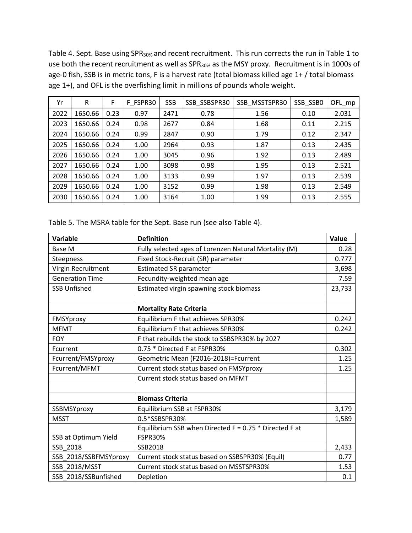Table 4. Sept. Base using SPR<sub>30%</sub> and recent recruitment. This run corrects the run in Table 1 to use both the recent recruitment as well as SPR<sub>30%</sub> as the MSY proxy. Recruitment is in 1000s of age-0 fish, SSB is in metric tons, F is a harvest rate (total biomass killed age 1+ / total biomass age 1+), and OFL is the overfishing limit in millions of pounds whole weight.

| Yr   | R       | F    | F FSPR30 | <b>SSB</b> | SSB SSBSPR30 | SSB MSSTSPR30 | SSB_SSBO | OFL_mp |
|------|---------|------|----------|------------|--------------|---------------|----------|--------|
| 2022 | 1650.66 | 0.23 | 0.97     | 2471       | 0.78         | 1.56          | 0.10     | 2.031  |
| 2023 | 1650.66 | 0.24 | 0.98     | 2677       | 0.84         | 1.68          | 0.11     | 2.215  |
| 2024 | 1650.66 | 0.24 | 0.99     | 2847       | 0.90<br>1.79 |               | 0.12     | 2.347  |
| 2025 | 1650.66 | 0.24 | 1.00     | 2964       | 0.93         | 1.87          | 0.13     | 2.435  |
| 2026 | 1650.66 | 0.24 | 1.00     | 3045       | 0.96         | 1.92          | 0.13     | 2.489  |
| 2027 | 1650.66 | 0.24 | 1.00     | 3098       | 0.98         | 1.95          | 0.13     | 2.521  |
| 2028 | 1650.66 | 0.24 | 1.00     | 3133       | 0.99         | 1.97          | 0.13     | 2.539  |
| 2029 | 1650.66 | 0.24 | 1.00     | 3152       | 0.99         | 1.98          | 0.13     | 2.549  |
| 2030 | 1650.66 | 0.24 | 1.00     | 3164       | 1.00         | 1.99          | 0.13     | 2.555  |

Table 5. The MSRA table for the Sept. Base run (see also Table 4).

| Variable               | <b>Definition</b>                                        | Value  |
|------------------------|----------------------------------------------------------|--------|
| Base M                 | Fully selected ages of Lorenzen Natural Mortality (M)    | 0.28   |
| Steepness              | Fixed Stock-Recruit (SR) parameter                       | 0.777  |
| Virgin Recruitment     | <b>Estimated SR parameter</b>                            | 3,698  |
| <b>Generation Time</b> | Fecundity-weighted mean age                              | 7.59   |
| <b>SSB Unfished</b>    | Estimated virgin spawning stock biomass                  | 23,733 |
|                        |                                                          |        |
|                        | <b>Mortality Rate Criteria</b>                           |        |
| FMSYproxy              | Equilibrium F that achieves SPR30%                       | 0.242  |
| <b>MFMT</b>            | Equilibrium F that achieves SPR30%                       | 0.242  |
| <b>FOY</b>             | F that rebuilds the stock to SSBSPR30% by 2027           |        |
| Fcurrent               | 0.75 * Directed F at FSPR30%                             | 0.302  |
| Fcurrent/FMSYproxy     | Geometric Mean (F2016-2018)=Fcurrent                     | 1.25   |
| Fcurrent/MFMT          | Current stock status based on FMSYproxy                  | 1.25   |
|                        | Current stock status based on MFMT                       |        |
|                        |                                                          |        |
|                        | <b>Biomass Criteria</b>                                  |        |
| SSBMSYproxy            | Equilibrium SSB at FSPR30%                               | 3,179  |
| <b>MSST</b>            | 0.5*SSBSPR30%                                            | 1,589  |
|                        | Equilibrium SSB when Directed $F = 0.75$ * Directed F at |        |
| SSB at Optimum Yield   | <b>FSPR30%</b>                                           |        |
| SSB 2018               | SSB2018                                                  | 2,433  |
| SSB_2018/SSBFMSYproxy  | Current stock status based on SSBSPR30% (Equil)          | 0.77   |
| <b>SSB 2018/MSST</b>   | Current stock status based on MSSTSPR30%                 | 1.53   |
| SSB 2018/SSBunfished   | Depletion                                                | 0.1    |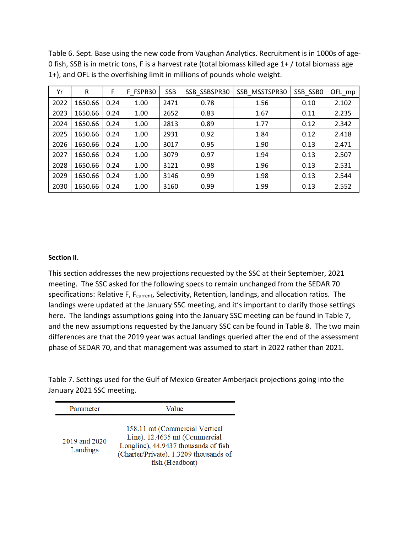Table 6. Sept. Base using the new code from Vaughan Analytics. Recruitment is in 1000s of age-0 fish, SSB is in metric tons, F is a harvest rate (total biomass killed age 1+ / total biomass age 1+), and OFL is the overfishing limit in millions of pounds whole weight.

| Yr   | R       | F    | F FSPR30 | <b>SSB</b> | SSB SSBSPR30 | SSB MSSTSPR30 | SSB_SSBO | OFL_mp |
|------|---------|------|----------|------------|--------------|---------------|----------|--------|
| 2022 | 1650.66 | 0.24 | 1.00     | 2471       | 0.78         | 1.56          | 0.10     | 2.102  |
| 2023 | 1650.66 | 0.24 | 1.00     | 2652       | 0.83         | 1.67          | 0.11     | 2.235  |
| 2024 | 1650.66 | 0.24 | 1.00     | 2813       | 0.89         | 1.77          | 0.12     | 2.342  |
| 2025 | 1650.66 | 0.24 | 1.00     | 2931       | 0.92         | 1.84          | 0.12     | 2.418  |
| 2026 | 1650.66 | 0.24 | 1.00     | 3017       | 0.95         | 1.90          | 0.13     | 2.471  |
| 2027 | 1650.66 | 0.24 | 1.00     | 3079       | 0.97         | 1.94          | 0.13     | 2.507  |
| 2028 | 1650.66 | 0.24 | 1.00     | 3121       | 0.98         | 1.96          | 0.13     | 2.531  |
| 2029 | 1650.66 | 0.24 | 1.00     | 3146       | 0.99         | 1.98          | 0.13     | 2.544  |
| 2030 | 1650.66 | 0.24 | 1.00     | 3160       | 0.99         | 1.99          | 0.13     | 2.552  |

## **Section II.**

This section addresses the new projections requested by the SSC at their September, 2021 meeting. The SSC asked for the following specs to remain unchanged from the SEDAR 70 specifications: Relative F, F<sub>current</sub>, Selectivity, Retention, landings, and allocation ratios. The landings were updated at the January SSC meeting, and it's important to clarify those settings here. The landings assumptions going into the January SSC meeting can be found in Table 7, and the new assumptions requested by the January SSC can be found in Table 8. The two main differences are that the 2019 year was actual landings queried after the end of the assessment phase of SEDAR 70, and that management was assumed to start in 2022 rather than 2021.

Table 7. Settings used for the Gulf of Mexico Greater Amberjack projections going into the January 2021 SSC meeting.

| Parameter                 | Value                                                                                                                                                                |  |  |  |  |  |  |
|---------------------------|----------------------------------------------------------------------------------------------------------------------------------------------------------------------|--|--|--|--|--|--|
| 2019 and 2020<br>Landings | 158.11 mt (Commercial Vertical<br>Line), 12.4635 mt (Commercial<br>Longline), 44.9437 thousands of fish<br>(Charter/Private), 1.3209 thousands of<br>fish (Headboat) |  |  |  |  |  |  |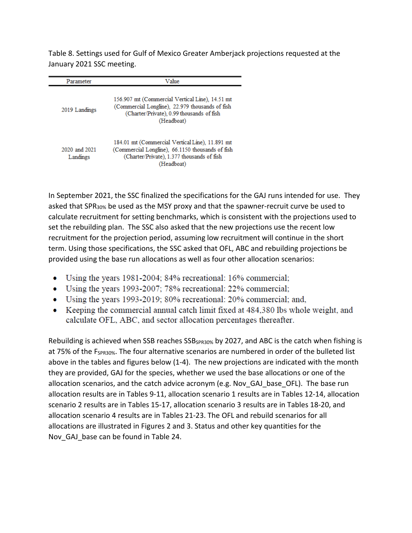Table 8. Settings used for Gulf of Mexico Greater Amberjack projections requested at the January 2021 SSC meeting.

| Parameter                 | Value                                                                                                                                                           |
|---------------------------|-----------------------------------------------------------------------------------------------------------------------------------------------------------------|
| 2019 Landings             | 156.907 mt (Commercial Vertical Line), 14.51 mt<br>(Commercial Longline), 22.979 thousands of fish<br>(Charter/Private), 0.99 thousands of fish<br>(Headboat)   |
| 2020 and 2021<br>Landings | 184.01 mt (Commercial Vertical Line), 11.891 mt<br>(Commercial Longline), 66.1150 thousands of fish<br>(Charter/Private), 1.377 thousands of fish<br>(Headboat) |

In September 2021, the SSC finalized the specifications for the GAJ runs intended for use. They asked that SPR30% be used as the MSY proxy and that the spawner-recruit curve be used to calculate recruitment for setting benchmarks, which is consistent with the projections used to set the rebuilding plan. The SSC also asked that the new projections use the recent low recruitment for the projection period, assuming low recruitment will continue in the short term. Using those specifications, the SSC asked that OFL, ABC and rebuilding projections be provided using the base run allocations as well as four other allocation scenarios:

- Using the years 1981-2004; 84% recreational: 16% commercial;
- Using the years 1993-2007; 78% recreational: 22% commercial;
- Using the years 1993-2019; 80% recreational: 20% commercial; and,
- Keeping the commercial annual catch limit fixed at 484,380 lbs whole weight, and  $\bullet$ calculate OFL, ABC, and sector allocation percentages thereafter.

Rebuilding is achieved when SSB reaches SSB<sub>SPR30%</sub> by 2027, and ABC is the catch when fishing is at 75% of the  $F_{SPR30\%}$ . The four alternative scenarios are numbered in order of the bulleted list above in the tables and figures below (1-4). The new projections are indicated with the month they are provided, GAJ for the species, whether we used the base allocations or one of the allocation scenarios, and the catch advice acronym (e.g. Nov GAJ base OFL). The base run allocation results are in Tables 9-11, allocation scenario 1 results are in Tables 12-14, allocation scenario 2 results are in Tables 15-17, allocation scenario 3 results are in Tables 18-20, and allocation scenario 4 results are in Tables 21-23. The OFL and rebuild scenarios for all allocations are illustrated in Figures 2 and 3. Status and other key quantities for the Nov GAJ base can be found in Table 24.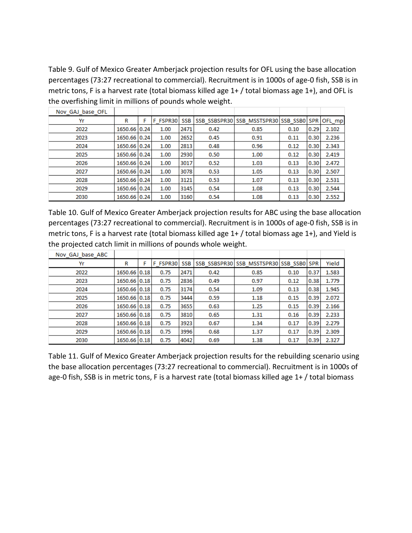Table 9. Gulf of Mexico Greater Amberjack projection results for OFL using the base allocation percentages (73:27 recreational to commercial). Recruitment is in 1000s of age-0 fish, SSB is in metric tons, F is a harvest rate (total biomass killed age 1+ / total biomass age 1+), and OFL is the overfishing limit in millions of pounds whole weight.

| Nov GAJ base OFL |              |   |          |            |      |                                                |      |      |       |
|------------------|--------------|---|----------|------------|------|------------------------------------------------|------|------|-------|
| Yr               | R            | F | F FSPR30 | <b>SSB</b> |      | SSB SSBSPR30 SSB MSSTSPR30 SSB SSB0 SPR OFL mp |      |      |       |
| 2022             | 1650.66 0.24 |   | 1.00     | 2471       | 0.42 | 0.85                                           | 0.10 | 0.29 | 2.102 |
| 2023             | 1650.66 0.24 |   | 1.00     | 2652       | 0.45 | 0.91                                           | 0.11 | 0.30 | 2.236 |
| 2024             | 1650.66 0.24 |   | 1.00     | 2813       | 0.48 | 0.96                                           | 0.12 | 0.30 | 2.343 |
| 2025             | 1650.66 0.24 |   | 1.00     | 2930       | 0.50 | 1.00                                           | 0.12 | 0.30 | 2.419 |
| 2026             | 1650.66 0.24 |   | 1.00     | 3017       | 0.52 | 1.03                                           | 0.13 | 0.30 | 2.472 |
| 2027             | 1650.66 0.24 |   | 1.00     | 3078       | 0.53 | 1.05                                           | 0.13 | 0.30 | 2.507 |
| 2028             | 1650.66 0.24 |   | 1.00     | 3121       | 0.53 | 1.07                                           | 0.13 | 0.30 | 2.531 |
| 2029             | 1650.66 0.24 |   | 1.00     | 3145       | 0.54 | 1.08                                           | 0.13 | 0.30 | 2.544 |
| 2030             | 1650.66 0.24 |   | 1.00     | 3160       | 0.54 | 1.08                                           | 0.13 | 0.30 | 2.552 |

Table 10. Gulf of Mexico Greater Amberjack projection results for ABC using the base allocation percentages (73:27 recreational to commercial). Recruitment is in 1000s of age-0 fish, SSB is in metric tons, F is a harvest rate (total biomass killed age 1+ / total biomass age 1+), and Yield is the projected catch limit in millions of pounds whole weight.

| Nov GAJ base ABC |              |   |          |            |      |                                         |      |      |       |
|------------------|--------------|---|----------|------------|------|-----------------------------------------|------|------|-------|
| Yr               | R            | F | F FSPR30 | <b>SSB</b> |      | SSB SSBSPR30 SSB MSSTSPR30 SSB SSB0 SPR |      |      | Yield |
| 2022             | 1650.66 0.18 |   | 0.75     | 2471       | 0.42 | 0.85                                    | 0.10 | 0.37 | 1.583 |
| 2023             | 1650.66 0.18 |   | 0.75     | 2836       | 0.49 | 0.97                                    | 0.12 | 0.38 | 1.779 |
| 2024             | 1650.66 0.18 |   | 0.75     | 3174       | 0.54 | 1.09                                    | 0.13 | 0.38 | 1.945 |
| 2025             | 1650.66 0.18 |   | 0.75     | 3444       | 0.59 | 1.18                                    | 0.15 | 0.39 | 2.072 |
| 2026             | 1650.66 0.18 |   | 0.75     | 3655       | 0.63 | 1.25                                    | 0.15 | 0.39 | 2.166 |
| 2027             | 1650.66 0.18 |   | 0.75     | 3810       | 0.65 | 1.31                                    | 0.16 | 0.39 | 2.233 |
| 2028             | 1650.66 0.18 |   | 0.75     | 3923       | 0.67 | 1.34                                    | 0.17 | 0.39 | 2.279 |
| 2029             | 1650.66 0.18 |   | 0.75     | 3996       | 0.68 | 1.37                                    | 0.17 | 0.39 | 2.309 |
| 2030             | 1650.66 0.18 |   | 0.75     | 4042       | 0.69 | 1.38                                    | 0.17 | 0.39 | 2.327 |

Table 11. Gulf of Mexico Greater Amberjack projection results for the rebuilding scenario using the base allocation percentages (73:27 recreational to commercial). Recruitment is in 1000s of age-0 fish, SSB is in metric tons, F is a harvest rate (total biomass killed age 1+ / total biomass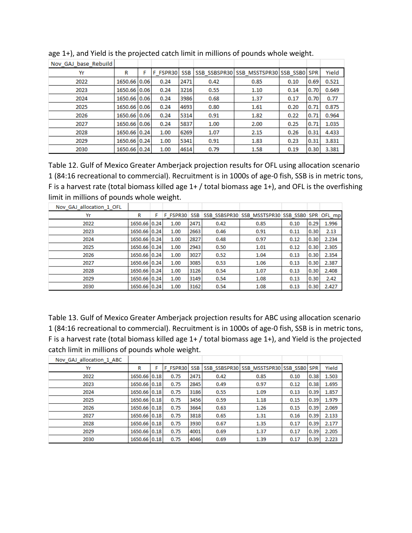| Nov GAJ base Rebuild |              |   |          |            |      |                                         |      |      |       |
|----------------------|--------------|---|----------|------------|------|-----------------------------------------|------|------|-------|
| Yr                   | R            | F | F FSPR30 | <b>SSB</b> |      | SSB SSBSPR30 SSB MSSTSPR30 SSB SSB0 SPR |      |      | Yield |
| 2022                 | 1650.66 0.06 |   | 0.24     | 2471       | 0.42 | 0.85                                    | 0.10 | 0.69 | 0.521 |
| 2023                 | 1650.66 0.06 |   | 0.24     | 3216       | 0.55 | 1.10                                    | 0.14 | 0.70 | 0.649 |
| 2024                 | 1650.66 0.06 |   | 0.24     | 3986       | 0.68 | 1.37                                    | 0.17 | 0.70 | 0.77  |
| 2025                 | 1650.66 0.06 |   | 0.24     | 4693       | 0.80 | 1.61                                    | 0.20 | 0.71 | 0.875 |
| 2026                 | 1650.66 0.06 |   | 0.24     | 5314       | 0.91 | 1.82                                    | 0.22 | 0.71 | 0.964 |
| 2027                 | 1650.66 0.06 |   | 0.24     | 5837       | 1.00 | 2.00                                    | 0.25 | 0.71 | 1.035 |
| 2028                 | 1650.66 0.24 |   | 1.00     | 6269       | 1.07 | 2.15                                    | 0.26 | 0.31 | 4.433 |
| 2029                 | 1650.66 0.24 |   | 1.00     | 5341       | 0.91 | 1.83                                    | 0.23 | 0.31 | 3.831 |
| 2030                 | 1650.66 0.24 |   | 1.00     | 4614       | 0.79 | 1.58                                    | 0.19 | 0.30 | 3.381 |

age 1+), and Yield is the projected catch limit in millions of pounds whole weight.

Table 12. Gulf of Mexico Greater Amberjack projection results for OFL using allocation scenario 1 (84:16 recreational to commercial). Recruitment is in 1000s of age-0 fish, SSB is in metric tons, F is a harvest rate (total biomass killed age 1+ / total biomass age 1+), and OFL is the overfishing limit in millions of pounds whole weight.

| Nov GAJ allocation 1 OFL |              |   |      |      |      |                                                             |      |      |       |
|--------------------------|--------------|---|------|------|------|-------------------------------------------------------------|------|------|-------|
| Yr                       | R            | F |      |      |      | F FSPR30 SSB SSB SSBSPR30 SSB MSSTSPR30 SSB SSB0 SPR OFL mp |      |      |       |
| 2022                     | 1650.66 0.24 |   | 1.00 | 2471 | 0.42 | 0.85                                                        | 0.10 | 0.29 | 1.996 |
| 2023                     | 1650.66 0.24 |   | 1.00 | 2663 | 0.46 | 0.91                                                        | 0.11 | 0.30 | 2.13  |
| 2024                     | 1650.66 0.24 |   | 1.00 | 2827 | 0.48 | 0.97                                                        | 0.12 | 0.30 | 2.234 |
| 2025                     | 1650.66 0.24 |   | 1.00 | 2943 | 0.50 | 1.01                                                        | 0.12 | 0.30 | 2.305 |
| 2026                     | 1650.66 0.24 |   | 1.00 | 3027 | 0.52 | 1.04                                                        | 0.13 | 0.30 | 2.354 |
| 2027                     | 1650.66 0.24 |   | 1.00 | 3085 | 0.53 | 1.06                                                        | 0.13 | 0.30 | 2.387 |
| 2028                     | 1650.66 0.24 |   | 1.00 | 3126 | 0.54 | 1.07                                                        | 0.13 | 0.30 | 2.408 |
| 2029                     | 1650.66 0.24 |   | 1.00 | 3149 | 0.54 | 1.08                                                        | 0.13 | 0.30 | 2.42  |
| 2030                     | 1650.66 0.24 |   | 1.00 | 3162 | 0.54 | 1.08                                                        | 0.13 | 0.30 | 2.427 |

Table 13. Gulf of Mexico Greater Amberjack projection results for ABC using allocation scenario 1 (84:16 recreational to commercial). Recruitment is in 1000s of age-0 fish, SSB is in metric tons, F is a harvest rate (total biomass killed age 1+ / total biomass age 1+), and Yield is the projected catch limit in millions of pounds whole weight.

| Nov GAJ allocation 1 ABC |              |   |          |            |      |                                         |      |      |       |
|--------------------------|--------------|---|----------|------------|------|-----------------------------------------|------|------|-------|
| Yr                       | R            | F | F FSPR30 | <b>SSB</b> |      | SSB SSBSPR30 SSB MSSTSPR30 SSB SSB0 SPR |      |      | Yield |
| 2022                     | 1650.66 0.18 |   | 0.75     | 2471       | 0.42 | 0.85                                    | 0.10 | 0.38 | 1.503 |
| 2023                     | 1650.66 0.18 |   | 0.75     | 2845       | 0.49 | 0.97                                    | 0.12 | 0.38 | 1.695 |
| 2024                     | 1650.66 0.18 |   | 0.75     | 3186       | 0.55 | 1.09                                    | 0.13 | 0.39 | 1.857 |
| 2025                     | 1650.66 0.18 |   | 0.75     | 3456       | 0.59 | 1.18                                    | 0.15 | 0.39 | 1.979 |
| 2026                     | 1650.66 0.18 |   | 0.75     | 3664       | 0.63 | 1.26                                    | 0.15 | 0.39 | 2.069 |
| 2027                     | 1650.66 0.18 |   | 0.75     | 3818       | 0.65 | 1.31                                    | 0.16 | 0.39 | 2.133 |
| 2028                     | 1650.66 0.18 |   | 0.75     | 3930       | 0.67 | 1.35                                    | 0.17 | 0.39 | 2.177 |
| 2029                     | 1650.66 0.18 |   | 0.75     | 4001       | 0.69 | 1.37                                    | 0.17 | 0.39 | 2.205 |
| 2030                     | 1650.66 0.18 |   | 0.75     | 4046       | 0.69 | 1.39                                    | 0.17 | 0.39 | 2.223 |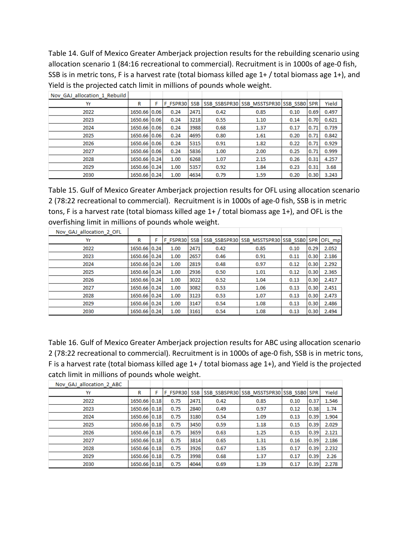Table 14. Gulf of Mexico Greater Amberjack projection results for the rebuilding scenario using allocation scenario 1 (84:16 recreational to commercial). Recruitment is in 1000s of age-0 fish, SSB is in metric tons, F is a harvest rate (total biomass killed age 1+ / total biomass age 1+), and Yield is the projected catch limit in millions of pounds whole weight.

| Nov GAJ allocation 1 Rebuild |              |          |            |      |                                         |      |      |       |
|------------------------------|--------------|----------|------------|------|-----------------------------------------|------|------|-------|
| Yr                           | R            | F FSPR30 | <b>SSB</b> |      | SSB SSBSPR30 SSB MSSTSPR30 SSB SSB0 SPR |      |      | Yield |
| 2022                         | 1650.66 0.06 | 0.24     | 2471       | 0.42 | 0.85                                    | 0.10 | 0.69 | 0.497 |
| 2023                         | 1650.66 0.06 | 0.24     | 3218       | 0.55 | 1.10                                    | 0.14 | 0.70 | 0.621 |
| 2024                         | 1650.66 0.06 | 0.24     | 3988       | 0.68 | 1.37                                    | 0.17 | 0.71 | 0.739 |
| 2025                         | 1650.66 0.06 | 0.24     | 4695       | 0.80 | 1.61                                    | 0.20 | 0.71 | 0.842 |
| 2026                         | 1650.66 0.06 | 0.24     | 5315       | 0.91 | 1.82                                    | 0.22 | 0.71 | 0.929 |
| 2027                         | 1650.66 0.06 | 0.24     | 5836       | 1.00 | 2.00                                    | 0.25 | 0.71 | 0.999 |
| 2028                         | 1650.66 0.24 | 1.00     | 6268       | 1.07 | 2.15                                    | 0.26 | 0.31 | 4.257 |
| 2029                         | 1650.66 0.24 | 1.00     | 5357       | 0.92 | 1.84                                    | 0.23 | 0.31 | 3.68  |
| 2030                         | 1650.66 0.24 | 1.00     | 4634       | 0.79 | 1.59                                    | 0.20 | 0.30 | 3.243 |

Table 15. Gulf of Mexico Greater Amberjack projection results for OFL using allocation scenario 2 (78:22 recreational to commercial). Recruitment is in 1000s of age-0 fish, SSB is in metric tons, F is a harvest rate (total biomass killed age 1+ / total biomass age 1+), and OFL is the overfishing limit in millions of pounds whole weight.

| Nov GAJ allocation 2 OFL |              |              |      |      |                                                  |      |      |       |
|--------------------------|--------------|--------------|------|------|--------------------------------------------------|------|------|-------|
| Yr                       | R            | F FSPR30 SSB |      |      | SSB SSBSPR30 SSB_MSSTSPR30 SSB_SSB0 SPR   OFL_mp |      |      |       |
| 2022                     | 1650.66 0.24 | 1.00         | 2471 | 0.42 | 0.85                                             | 0.10 | 0.29 | 2.052 |
| 2023                     | 1650.66 0.24 | 1.00         | 2657 | 0.46 | 0.91                                             | 0.11 | 0.30 | 2.186 |
| 2024                     | 1650.66 0.24 | 1.00         | 2819 | 0.48 | 0.97                                             | 0.12 | 0.30 | 2.292 |
| 2025                     | 1650.66 0.24 | 1.00         | 2936 | 0.50 | 1.01                                             | 0.12 | 0.30 | 2.365 |
| 2026                     | 1650.66 0.24 | 1.00         | 3022 | 0.52 | 1.04                                             | 0.13 | 0.30 | 2.417 |
| 2027                     | 1650.66 0.24 | 1.00         | 3082 | 0.53 | 1.06                                             | 0.13 | 0.30 | 2.451 |
| 2028                     | 1650.66 0.24 | 1.00         | 3123 | 0.53 | 1.07                                             | 0.13 | 0.30 | 2.473 |
| 2029                     | 1650.66 0.24 | 1.00         | 3147 | 0.54 | 1.08                                             | 0.13 | 0.30 | 2.486 |
| 2030                     | 1650.66 0.24 | 1.00         | 3161 | 0.54 | 1.08                                             | 0.13 | 0.30 | 2.494 |

Table 16. Gulf of Mexico Greater Amberjack projection results for ABC using allocation scenario 2 (78:22 recreational to commercial). Recruitment is in 1000s of age-0 fish, SSB is in metric tons, F is a harvest rate (total biomass killed age 1+ / total biomass age 1+), and Yield is the projected catch limit in millions of pounds whole weight.

| Nov GAJ allocation 2 ABC |              |          |            |      |                                         |      |      |       |
|--------------------------|--------------|----------|------------|------|-----------------------------------------|------|------|-------|
| Yr                       | R            | F FSPR30 | <b>SSB</b> |      | SSB SSBSPR30 SSB MSSTSPR30 SSB SSB0 SPR |      |      | Yield |
| 2022                     | 1650.66 0.18 | 0.75     | 2471       | 0.42 | 0.85                                    | 0.10 | 0.37 | 1.546 |
| 2023                     | 1650.66 0.18 | 0.75     | 2840       | 0.49 | 0.97                                    | 0.12 | 0.38 | 1.74  |
| 2024                     | 1650.66 0.18 | 0.75     | 3180       | 0.54 | 1.09                                    | 0.13 | 0.39 | 1.904 |
| 2025                     | 1650.66 0.18 | 0.75     | 3450       | 0.59 | 1.18                                    | 0.15 | 0.39 | 2.029 |
| 2026                     | 1650.66 0.18 | 0.75     | 3659       | 0.63 | 1.25                                    | 0.15 | 0.39 | 2.121 |
| 2027                     | 1650.66 0.18 | 0.75     | 3814       | 0.65 | 1.31                                    | 0.16 | 0.39 | 2.186 |
| 2028                     | 1650.66 0.18 | 0.75     | 3926       | 0.67 | 1.35                                    | 0.17 | 0.39 | 2.232 |
| 2029                     | 1650.66 0.18 | 0.75     | 3998       | 0.68 | 1.37                                    | 0.17 | 0.39 | 2.26  |
| 2030                     | 1650.66 0.18 | 0.75     | 4044       | 0.69 | 1.39                                    | 0.17 | 0.39 | 2.278 |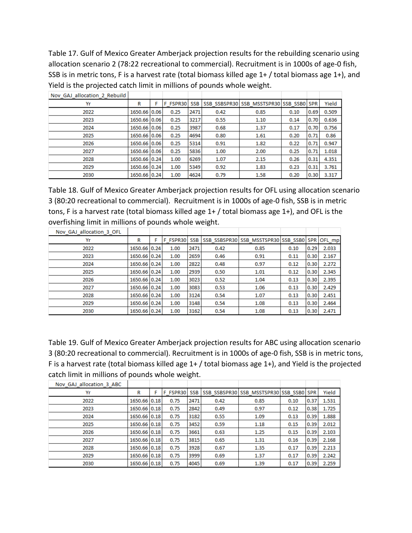Table 17. Gulf of Mexico Greater Amberjack projection results for the rebuilding scenario using allocation scenario 2 (78:22 recreational to commercial). Recruitment is in 1000s of age-0 fish, SSB is in metric tons, F is a harvest rate (total biomass killed age 1+ / total biomass age 1+), and Yield is the projected catch limit in millions of pounds whole weight.

| Nov GAJ allocation 2 Rebuild |              |          |                  |      |                                         |      |      |       |
|------------------------------|--------------|----------|------------------|------|-----------------------------------------|------|------|-------|
| Yr                           | R            | F FSPR30 | SSB <sub>I</sub> |      | SSB SSBSPR30 SSB MSSTSPR30 SSB SSB0 SPR |      |      | Yield |
| 2022                         | 1650.66 0.06 | 0.25     | 2471             | 0.42 | 0.85                                    | 0.10 | 0.69 | 0.509 |
| 2023                         | 1650.66 0.06 | 0.25     | 3217             | 0.55 | 1.10                                    | 0.14 | 0.70 | 0.636 |
| 2024                         | 1650.66 0.06 | 0.25     | 3987             | 0.68 | 1.37                                    | 0.17 | 0.70 | 0.756 |
| 2025                         | 1650.66 0.06 | 0.25     | 4694             | 0.80 | 1.61                                    | 0.20 | 0.71 | 0.86  |
| 2026                         | 1650.66 0.06 | 0.25     | 5314             | 0.91 | 1.82                                    | 0.22 | 0.71 | 0.947 |
| 2027                         | 1650.66 0.06 | 0.25     | 5836             | 1.00 | 2.00                                    | 0.25 | 0.71 | 1.018 |
| 2028                         | 1650.66 0.24 | 1.00     | 6269             | 1.07 | 2.15                                    | 0.26 | 0.31 | 4.351 |
| 2029                         | 1650.66 0.24 | 1.00     | 5349             | 0.92 | 1.83                                    | 0.23 | 0.31 | 3.761 |
| 2030                         | 1650.66 0.24 | 1.00     | 4624             | 0.79 | 1.58                                    | 0.20 | 0.30 | 3.317 |

Table 18. Gulf of Mexico Greater Amberjack projection results for OFL using allocation scenario 3 (80:20 recreational to commercial). Recruitment is in 1000s of age-0 fish, SSB is in metric tons, F is a harvest rate (total biomass killed age 1+ / total biomass age 1+), and OFL is the overfishing limit in millions of pounds whole weight.

| Nov GAJ allocation 3 OFL |              |          |            |      |                                                |      |      |       |
|--------------------------|--------------|----------|------------|------|------------------------------------------------|------|------|-------|
| Yr                       | R            | F FSPR30 | <b>SSB</b> |      | SSB SSBSPR30 SSB MSSTSPR30 SSB SSB0 SPR OFL mp |      |      |       |
| 2022                     | 1650.66 0.24 | 1.00     | 2471       | 0.42 | 0.85                                           | 0.10 | 0.29 | 2.033 |
| 2023                     | 1650.66 0.24 | 1.00     | 2659       | 0.46 | 0.91                                           | 0.11 | 0.30 | 2.167 |
| 2024                     | 1650.66 0.24 | 1.00     | 2822       | 0.48 | 0.97                                           | 0.12 | 0.30 | 2.272 |
| 2025                     | 1650.66 0.24 | 1.00     | 2939       | 0.50 | 1.01                                           | 0.12 | 0.30 | 2.345 |
| 2026                     | 1650.66 0.24 | 1.00     | 3023       | 0.52 | 1.04                                           | 0.13 | 0.30 | 2.395 |
| 2027                     | 1650.66 0.24 | 1.00     | 3083       | 0.53 | 1.06                                           | 0.13 | 0.30 | 2.429 |
| 2028                     | 1650.66 0.24 | 1.00     | 3124       | 0.54 | 1.07                                           | 0.13 | 0.30 | 2.451 |
| 2029                     | 1650.66 0.24 | 1.00     | 3148       | 0.54 | 1.08                                           | 0.13 | 0.30 | 2.464 |
| 2030                     | 1650.66 0.24 | 1.00     | 3162       | 0.54 | 1.08                                           | 0.13 | 0.30 | 2.471 |

Table 19. Gulf of Mexico Greater Amberjack projection results for ABC using allocation scenario 3 (80:20 recreational to commercial). Recruitment is in 1000s of age-0 fish, SSB is in metric tons, F is a harvest rate (total biomass killed age 1+ / total biomass age 1+), and Yield is the projected catch limit in millions of pounds whole weight.

| Nov GAJ allocation 3 ABC |              |          |      |      |                                         |      |      |       |
|--------------------------|--------------|----------|------|------|-----------------------------------------|------|------|-------|
| Yr                       | R            | F FSPR30 | SSB  |      | SSB SSBSPR30 SSB MSSTSPR30 SSB SSB0 SPR |      |      | Yield |
| 2022                     | 1650.66 0.18 | 0.75     | 2471 | 0.42 | 0.85                                    | 0.10 | 0.37 | 1.531 |
| 2023                     | 1650.66 0.18 | 0.75     | 2842 | 0.49 | 0.97                                    | 0.12 | 0.38 | 1.725 |
| 2024                     | 1650.66 0.18 | 0.75     | 3182 | 0.55 | 1.09                                    | 0.13 | 0.39 | 1.888 |
| 2025                     | 1650.66 0.18 | 0.75     | 3452 | 0.59 | 1.18                                    | 0.15 | 0.39 | 2.012 |
| 2026                     | 1650.66 0.18 | 0.75     | 3661 | 0.63 | 1.25                                    | 0.15 | 0.39 | 2.103 |
| 2027                     | 1650.66 0.18 | 0.75     | 3815 | 0.65 | 1.31                                    | 0.16 | 0.39 | 2.168 |
| 2028                     | 1650.66 0.18 | 0.75     | 3928 | 0.67 | 1.35                                    | 0.17 | 0.39 | 2.213 |
| 2029                     | 1650.66 0.18 | 0.75     | 3999 | 0.69 | 1.37                                    | 0.17 | 0.39 | 2.242 |
| 2030                     | 1650.66 0.18 | 0.75     | 4045 | 0.69 | 1.39                                    | 0.17 | 0.39 | 2.259 |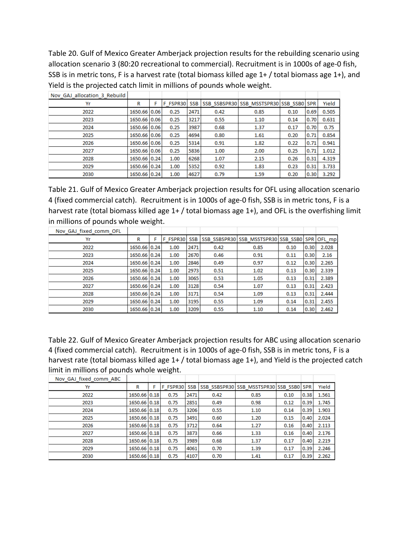Table 20. Gulf of Mexico Greater Amberjack projection results for the rebuilding scenario using allocation scenario 3 (80:20 recreational to commercial). Recruitment is in 1000s of age-0 fish, SSB is in metric tons, F is a harvest rate (total biomass killed age 1+ / total biomass age 1+), and Yield is the projected catch limit in millions of pounds whole weight.

| Nov GAJ allocation 3 Rebuild |              |   |          |                  |      |                                         |      |      |       |
|------------------------------|--------------|---|----------|------------------|------|-----------------------------------------|------|------|-------|
| Yr                           | R            | F | F FSPR30 | SSB <sub>I</sub> |      | SSB SSBSPR30 SSB MSSTSPR30 SSB SSB0 SPR |      |      | Yield |
| 2022                         | 1650.66 0.06 |   | 0.25     | 2471             | 0.42 | 0.85                                    | 0.10 | 0.69 | 0.505 |
| 2023                         | 1650.66 0.06 |   | 0.25     | 3217             | 0.55 | 1.10                                    | 0.14 | 0.70 | 0.631 |
| 2024                         | 1650.66 0.06 |   | 0.25     | 3987             | 0.68 | 1.37                                    | 0.17 | 0.70 | 0.75  |
| 2025                         | 1650.66 0.06 |   | 0.25     | 4694             | 0.80 | 1.61                                    | 0.20 | 0.71 | 0.854 |
| 2026                         | 1650.66 0.06 |   | 0.25     | 5314             | 0.91 | 1.82                                    | 0.22 | 0.71 | 0.941 |
| 2027                         | 1650.66 0.06 |   | 0.25     | 5836             | 1.00 | 2.00                                    | 0.25 | 0.71 | 1.012 |
| 2028                         | 1650.66 0.24 |   | 1.00     | 6268             | 1.07 | 2.15                                    | 0.26 | 0.31 | 4.319 |
| 2029                         | 1650.66 0.24 |   | 1.00     | 5352             | 0.92 | 1.83                                    | 0.23 | 0.31 | 3.733 |
| 2030                         | 1650.66 0.24 |   | 1.00     | 4627             | 0.79 | 1.59                                    | 0.20 | 0.30 | 3.292 |

Table 21. Gulf of Mexico Greater Amberjack projection results for OFL using allocation scenario 4 (fixed commercial catch). Recruitment is in 1000s of age-0 fish, SSB is in metric tons, F is a harvest rate (total biomass killed age 1+ / total biomass age 1+), and OFL is the overfishing limit in millions of pounds whole weight.

| Nov GAJ fixed comm OFL |              |          |            |      |                                                |      |      |       |
|------------------------|--------------|----------|------------|------|------------------------------------------------|------|------|-------|
| Yr                     | R            | F FSPR30 | <b>SSB</b> |      | SSB SSBSPR30 SSB MSSTSPR30 SSB SSB0 SPR OFL mp |      |      |       |
| 2022                   | 1650.66 0.24 | 1.00     | 2471       | 0.42 | 0.85                                           | 0.10 | 0.30 | 2.028 |
| 2023                   | 1650.66 0.24 | 1.00     | 2670       | 0.46 | 0.91                                           | 0.11 | 0.30 | 2.16  |
| 2024                   | 1650.66 0.24 | 1.00     | 2846       | 0.49 | 0.97                                           | 0.12 | 0.30 | 2.265 |
| 2025                   | 1650.66 0.24 | 1.00     | 2973       | 0.51 | 1.02                                           | 0.13 | 0.30 | 2.339 |
| 2026                   | 1650.66 0.24 | 1.00     | 3065       | 0.53 | 1.05                                           | 0.13 | 0.31 | 2.389 |
| 2027                   | 1650.66 0.24 | 1.00     | 3128       | 0.54 | 1.07                                           | 0.13 | 0.31 | 2.423 |
| 2028                   | 1650.66 0.24 | 1.00     | 3171       | 0.54 | 1.09                                           | 0.13 | 0.31 | 2.444 |
| 2029                   | 1650.66 0.24 | 1.00     | 3195       | 0.55 | 1.09                                           | 0.14 | 0.31 | 2.455 |
| 2030                   | 1650.66 0.24 | 1.00     | 3209       | 0.55 | 1.10                                           | 0.14 | 0.30 | 2.462 |

Table 22. Gulf of Mexico Greater Amberjack projection results for ABC using allocation scenario 4 (fixed commercial catch). Recruitment is in 1000s of age-0 fish, SSB is in metric tons, F is a harvest rate (total biomass killed age 1+ / total biomass age 1+), and Yield is the projected catch limit in millions of pounds whole weight.

| Nov GAJ fixed comm ABC |              |          |            |      |                                         |      |      |       |
|------------------------|--------------|----------|------------|------|-----------------------------------------|------|------|-------|
| Yr                     | R            | F FSPR30 | <b>SSB</b> |      | SSB SSBSPR30 SSB MSSTSPR30 SSB SSB0 SPR |      |      | Yield |
| 2022                   | 1650.66 0.18 | 0.75     | 2471       | 0.42 | 0.85                                    | 0.10 | 0.38 | 1.561 |
| 2023                   | 1650.66 0.18 | 0.75     | 2851       | 0.49 | 0.98                                    | 0.12 | 0.39 | 1.745 |
| 2024                   | 1650.66 0.18 | 0.75     | 3206       | 0.55 | 1.10                                    | 0.14 | 0.39 | 1.903 |
| 2025                   | 1650.66 0.18 | 0.75     | 3491       | 0.60 | 1.20                                    | 0.15 | 0.40 | 2.024 |
| 2026                   | 1650.66 0.18 | 0.75     | 3712       | 0.64 | 1.27                                    | 0.16 | 0.40 | 2.113 |
| 2027                   | 1650.66 0.18 | 0.75     | 3873       | 0.66 | 1.33                                    | 0.16 | 0.40 | 2.176 |
| 2028                   | 1650.66 0.18 | 0.75     | 3989       | 0.68 | 1.37                                    | 0.17 | 0.40 | 2.219 |
| 2029                   | 1650.66 0.18 | 0.75     | 4061       | 0.70 | 1.39                                    | 0.17 | 0.39 | 2.246 |
| 2030                   | 1650.66 0.18 | 0.75     | 4107       | 0.70 | 1.41                                    | 0.17 | 0.39 | 2.262 |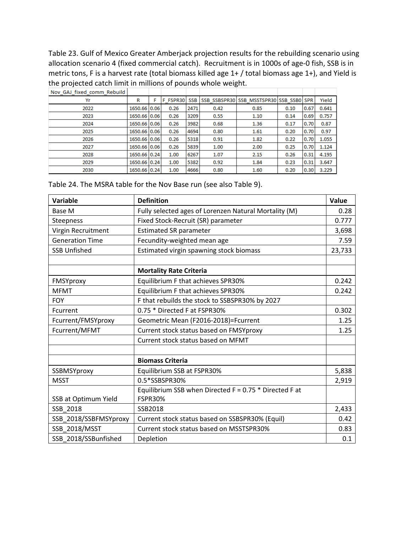Table 23. Gulf of Mexico Greater Amberjack projection results for the rebuilding scenario using allocation scenario 4 (fixed commercial catch). Recruitment is in 1000s of age-0 fish, SSB is in metric tons, F is a harvest rate (total biomass killed age 1+ / total biomass age 1+), and Yield is the projected catch limit in millions of pounds whole weight.

| Nov GAJ fixed comm Rebuild |              |          |            |      |                                         |      |      |       |
|----------------------------|--------------|----------|------------|------|-----------------------------------------|------|------|-------|
| Yr                         | R            | F FSPR30 | <b>SSB</b> |      | SSB SSBSPR30 SSB MSSTSPR30 SSB SSB0 SPR |      |      | Yield |
| 2022                       | 1650.66 0.06 | 0.26     | 2471       | 0.42 | 0.85                                    | 0.10 | 0.67 | 0.641 |
| 2023                       | 1650.66 0.06 | 0.26     | 3209       | 0.55 | 1.10                                    | 0.14 | 0.69 | 0.757 |
| 2024                       | 1650.66 0.06 | 0.26     | 3982       | 0.68 | 1.36                                    | 0.17 | 0.70 | 0.87  |
| 2025                       | 1650.66 0.06 | 0.26     | 4694       | 0.80 | 1.61                                    | 0.20 | 0.70 | 0.97  |
| 2026                       | 1650.66 0.06 | 0.26     | 5318       | 0.91 | 1.82                                    | 0.22 | 0.70 | 1.055 |
| 2027                       | 1650.66 0.06 | 0.26     | 5839       | 1.00 | 2.00                                    | 0.25 | 0.70 | 1.124 |
| 2028                       | 1650.66 0.24 | 1.00     | 6267       | 1.07 | 2.15                                    | 0.26 | 0.31 | 4.195 |
| 2029                       | 1650.66 0.24 | 1.00     | 5382       | 0.92 | 1.84                                    | 0.23 | 0.31 | 3.647 |
| 2030                       | 1650.66 0.24 | 1.00     | 4666       | 0.80 | 1.60                                    | 0.20 | 0.30 | 3.229 |

Table 24. The MSRA table for the Nov Base run (see also Table 9).

| <b>Variable</b>        | <b>Definition</b>                                        | Value  |
|------------------------|----------------------------------------------------------|--------|
| Base M                 | Fully selected ages of Lorenzen Natural Mortality (M)    | 0.28   |
| Steepness              | Fixed Stock-Recruit (SR) parameter                       | 0.777  |
| Virgin Recruitment     | <b>Estimated SR parameter</b>                            | 3,698  |
| <b>Generation Time</b> | Fecundity-weighted mean age                              | 7.59   |
| <b>SSB Unfished</b>    | Estimated virgin spawning stock biomass                  | 23,733 |
|                        |                                                          |        |
|                        | <b>Mortality Rate Criteria</b>                           |        |
| FMSYproxy              | Equilibrium F that achieves SPR30%                       | 0.242  |
| <b>MFMT</b>            | Equilibrium F that achieves SPR30%                       | 0.242  |
| <b>FOY</b>             | F that rebuilds the stock to SSBSPR30% by 2027           |        |
| Fcurrent               | 0.75 * Directed F at FSPR30%                             | 0.302  |
| Fcurrent/FMSYproxy     | Geometric Mean (F2016-2018)=Fcurrent                     | 1.25   |
| Fcurrent/MFMT          | Current stock status based on FMSYproxy                  | 1.25   |
|                        | Current stock status based on MFMT                       |        |
|                        |                                                          |        |
|                        | <b>Biomass Criteria</b>                                  |        |
| SSBMSYproxy            | Equilibrium SSB at FSPR30%                               | 5,838  |
| <b>MSST</b>            | 0.5*SSBSPR30%                                            | 2,919  |
|                        | Equilibrium SSB when Directed $F = 0.75$ * Directed F at |        |
| SSB at Optimum Yield   | <b>FSPR30%</b>                                           |        |
| SSB 2018               | SSB2018                                                  | 2,433  |
| SSB_2018/SSBFMSYproxy  | Current stock status based on SSBSPR30% (Equil)          | 0.42   |
| <b>SSB 2018/MSST</b>   | Current stock status based on MSSTSPR30%                 | 0.83   |
| SSB 2018/SSBunfished   | Depletion                                                | 0.1    |